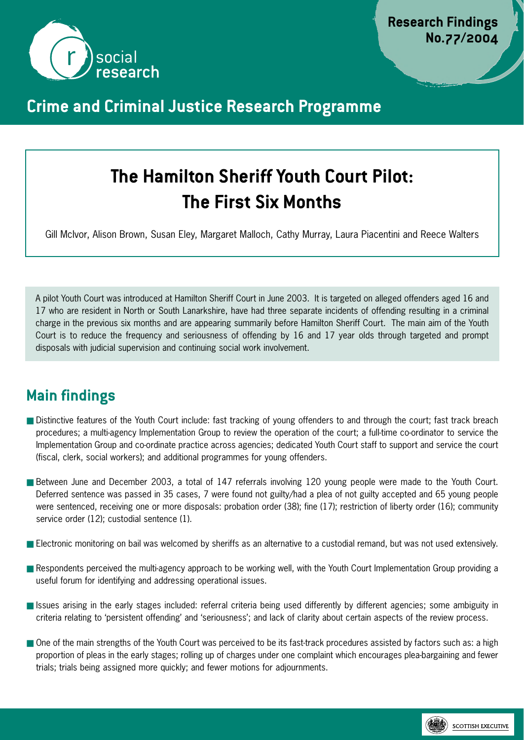

## **Crime and Criminal Justice Research Programme**

# **The Hamilton Sheriff Youth Court Pilot: The First Six Months**

Gill McIvor, Alison Brown, Susan Eley, Margaret Malloch, Cathy Murray, Laura Piacentini and Reece Walters

A pilot Youth Court was introduced at Hamilton Sheriff Court in June 2003. It is targeted on alleged offenders aged 16 and 17 who are resident in North or South Lanarkshire, have had three separate incidents of offending resulting in a criminal charge in the previous six months and are appearing summarily before Hamilton Sheriff Court. The main aim of the Youth Court is to reduce the frequency and seriousness of offending by 16 and 17 year olds through targeted and prompt disposals with judicial supervision and continuing social work involvement.

# **Main findings**

- Distinctive features of the Youth Court include: fast tracking of young offenders to and through the court; fast track breach procedures; a multi-agency Implementation Group to review the operation of the court; a full-time co-ordinator to service the Implementation Group and co-ordinate practice across agencies; dedicated Youth Court staff to support and service the court (fiscal, clerk, social workers); and additional programmes for young offenders.
- Between June and December 2003, a total of 147 referrals involving 120 young people were made to the Youth Court. Deferred sentence was passed in 35 cases, 7 were found not guilty/had a plea of not guilty accepted and 65 young people were sentenced, receiving one or more disposals: probation order (38); fine (17); restriction of liberty order (16); community service order (12); custodial sentence (1).
- Electronic monitoring on bail was welcomed by sheriffs as an alternative to a custodial remand, but was not used extensively.
- Respondents perceived the multi-agency approach to be working well, with the Youth Court Implementation Group providing a useful forum for identifying and addressing operational issues.
- Issues arising in the early stages included: referral criteria being used differently by different agencies; some ambiguity in criteria relating to 'persistent offending' and 'seriousness'; and lack of clarity about certain aspects of the review process.
- One of the main strengths of the Youth Court was perceived to be its fast-track procedures assisted by factors such as: a high proportion of pleas in the early stages; rolling up of charges under one complaint which encourages plea-bargaining and fewer trials; trials being assigned more quickly; and fewer motions for adjournments.

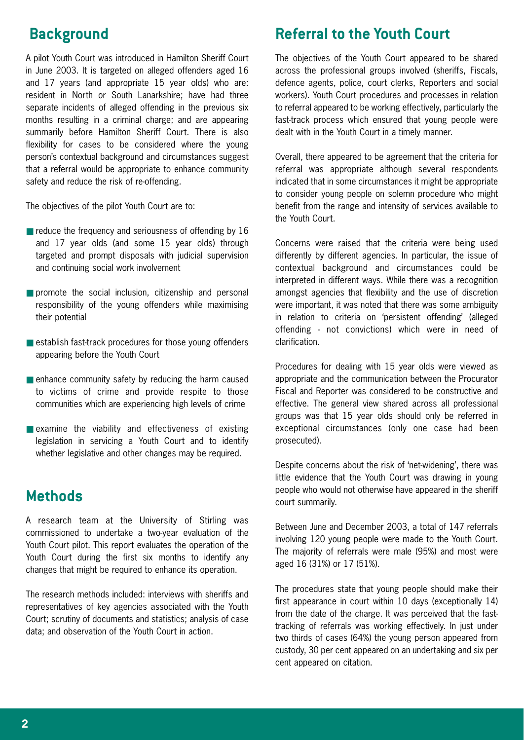# **Background**

A pilot Youth Court was introduced in Hamilton Sheriff Court in June 2003. It is targeted on alleged offenders aged 16 and 17 years (and appropriate 15 year olds) who are: resident in North or South Lanarkshire; have had three separate incidents of alleged offending in the previous six months resulting in a criminal charge; and are appearing summarily before Hamilton Sheriff Court. There is also flexibility for cases to be considered where the young person's contextual background and circumstances suggest that a referral would be appropriate to enhance community safety and reduce the risk of re-offending.

The objectives of the pilot Youth Court are to:

- $\blacksquare$  reduce the frequency and seriousness of offending by 16 and 17 year olds (and some 15 year olds) through targeted and prompt disposals with judicial supervision and continuing social work involvement
- promote the social inclusion, citizenship and personal responsibility of the young offenders while maximising their potential
- establish fast-track procedures for those young offenders appearing before the Youth Court
- $\blacksquare$  enhance community safety by reducing the harm caused to victims of crime and provide respite to those communities which are experiencing high levels of crime
- $\blacksquare$  examine the viability and effectiveness of existing legislation in servicing a Youth Court and to identify whether legislative and other changes may be required.

### **Methods**

A research team at the University of Stirling was commissioned to undertake a two-year evaluation of the Youth Court pilot. This report evaluates the operation of the Youth Court during the first six months to identify any changes that might be required to enhance its operation.

The research methods included: interviews with sheriffs and representatives of key agencies associated with the Youth Court; scrutiny of documents and statistics; analysis of case data; and observation of the Youth Court in action.

## **Referral to the Youth Court**

The objectives of the Youth Court appeared to be shared across the professional groups involved (sheriffs, Fiscals, defence agents, police, court clerks, Reporters and social workers). Youth Court procedures and processes in relation to referral appeared to be working effectively, particularly the fast-track process which ensured that young people were dealt with in the Youth Court in a timely manner.

Overall, there appeared to be agreement that the criteria for referral was appropriate although several respondents indicated that in some circumstances it might be appropriate to consider young people on solemn procedure who might benefit from the range and intensity of services available to the Youth Court.

Concerns were raised that the criteria were being used differently by different agencies. In particular, the issue of contextual background and circumstances could be interpreted in different ways. While there was a recognition amongst agencies that flexibility and the use of discretion were important, it was noted that there was some ambiguity in relation to criteria on 'persistent offending' (alleged offending - not convictions) which were in need of clarification.

Procedures for dealing with 15 year olds were viewed as appropriate and the communication between the Procurator Fiscal and Reporter was considered to be constructive and effective. The general view shared across all professional groups was that 15 year olds should only be referred in exceptional circumstances (only one case had been prosecuted).

Despite concerns about the risk of 'net-widening', there was little evidence that the Youth Court was drawing in young people who would not otherwise have appeared in the sheriff court summarily.

Between June and December 2003, a total of 147 referrals involving 120 young people were made to the Youth Court. The majority of referrals were male (95%) and most were aged 16 (31%) or 17 (51%).

The procedures state that young people should make their first appearance in court within 10 days (exceptionally 14) from the date of the charge. It was perceived that the fasttracking of referrals was working effectively. In just under two thirds of cases (64%) the young person appeared from custody, 30 per cent appeared on an undertaking and six per cent appeared on citation.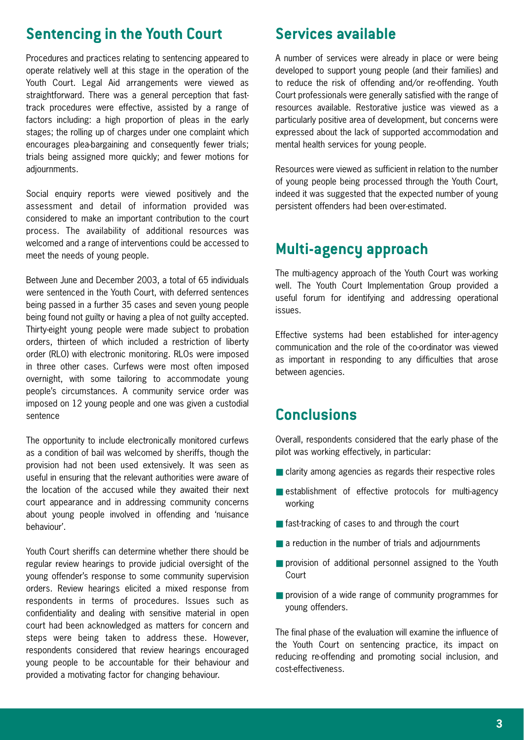#### **Sentencing in the Youth Court**

Procedures and practices relating to sentencing appeared to operate relatively well at this stage in the operation of the Youth Court. Legal Aid arrangements were viewed as straightforward. There was a general perception that fasttrack procedures were effective, assisted by a range of factors including: a high proportion of pleas in the early stages; the rolling up of charges under one complaint which encourages plea-bargaining and consequently fewer trials; trials being assigned more quickly; and fewer motions for adjournments.

Social enquiry reports were viewed positively and the assessment and detail of information provided was considered to make an important contribution to the court process. The availability of additional resources was welcomed and a range of interventions could be accessed to meet the needs of young people.

Between June and December 2003, a total of 65 individuals were sentenced in the Youth Court, with deferred sentences being passed in a further 35 cases and seven young people being found not guilty or having a plea of not guilty accepted. Thirty-eight young people were made subject to probation orders, thirteen of which included a restriction of liberty order (RLO) with electronic monitoring. RLOs were imposed in three other cases. Curfews were most often imposed overnight, with some tailoring to accommodate young people's circumstances. A community service order was imposed on 12 young people and one was given a custodial sentence

The opportunity to include electronically monitored curfews as a condition of bail was welcomed by sheriffs, though the provision had not been used extensively. It was seen as useful in ensuring that the relevant authorities were aware of the location of the accused while they awaited their next court appearance and in addressing community concerns about young people involved in offending and 'nuisance behaviour'.

Youth Court sheriffs can determine whether there should be regular review hearings to provide judicial oversight of the young offender's response to some community supervision orders. Review hearings elicited a mixed response from respondents in terms of procedures. Issues such as confidentiality and dealing with sensitive material in open court had been acknowledged as matters for concern and steps were being taken to address these. However, respondents considered that review hearings encouraged young people to be accountable for their behaviour and provided a motivating factor for changing behaviour.

### **Services available**

A number of services were already in place or were being developed to support young people (and their families) and to reduce the risk of offending and/or re-offending. Youth Court professionals were generally satisfied with the range of resources available. Restorative justice was viewed as a particularly positive area of development, but concerns were expressed about the lack of supported accommodation and mental health services for young people.

Resources were viewed as sufficient in relation to the number of young people being processed through the Youth Court, indeed it was suggested that the expected number of young persistent offenders had been over-estimated.

#### **Multi-agency approach**

The multi-agency approach of the Youth Court was working well. The Youth Court Implementation Group provided a useful forum for identifying and addressing operational issues.

Effective systems had been established for inter-agency communication and the role of the co-ordinator was viewed as important in responding to any difficulties that arose between agencies.

#### **Conclusions**

Overall, respondents considered that the early phase of the pilot was working effectively, in particular:

- clarity among agencies as regards their respective roles
- establishment of effective protocols for multi-agency working
- fast-tracking of cases to and through the court
- a reduction in the number of trials and adjournments
- provision of additional personnel assigned to the Youth Court
- provision of a wide range of community programmes for young offenders.

The final phase of the evaluation will examine the influence of the Youth Court on sentencing practice, its impact on reducing re-offending and promoting social inclusion, and cost-effectiveness.